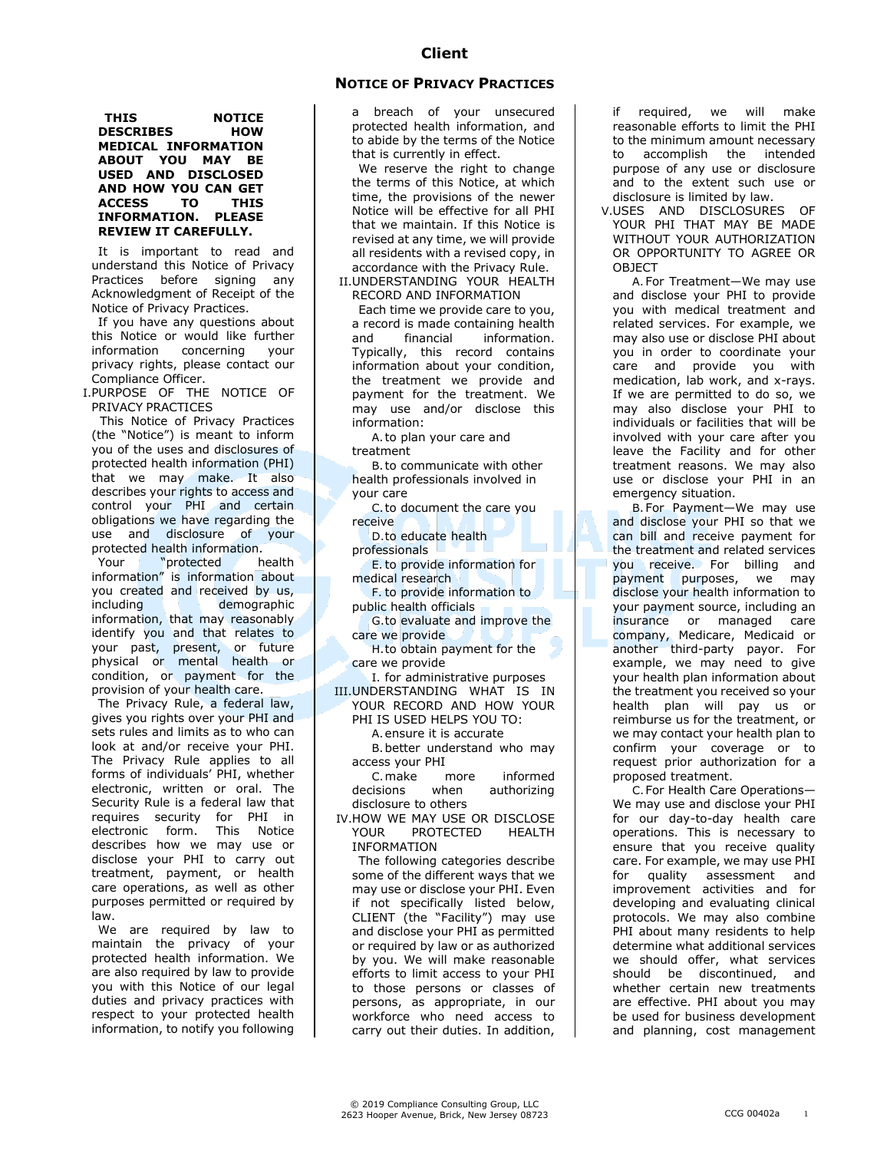## **NOTICE OF PRIVACY PRACTICES**

**THIS** NOTICE<br>DESCRIBES HOW **DESCRIBES MEDICAL INFORMATION ABOUT YOU MAY BE USED AND DISCLOSED AND HOW YOU CAN GET ACCESS TO THIS INFORMATION. PLEASE REVIEW IT CAREFULLY.**

It is important to read and understand this Notice of Privacy Practices before signing any Acknowledgment of Receipt of the Notice of Privacy Practices.

If you have any questions about this Notice or would like further<br>information concerning vour information concerning privacy rights, please contact our Compliance Officer.

I.PURPOSE OF THE NOTICE OF PRIVACY PRACTICES

 This Notice of Privacy Practices (the "Notice") is meant to inform you of the uses and disclosures of protected health information (PHI) that we may make. It also describes your rights to access and control your PHI and certain obligations we have regarding the use and disclosure of your protected health information.

Your "protected health information" is information about you created and received by us, including demographic information, that may reasonably identify you and that relates to your past, present, or future physical or mental health or condition, or payment for the provision of your health care.

The Privacy Rule, a federal law, gives you rights over your PHI and sets rules and limits as to who can look at and/or receive your PHI. The Privacy Rule applies to all forms of individuals' PHI, whether electronic, written or oral. The Security Rule is a federal law that requires security for PHI in<br>electronic form. This Notice  $e$ electronic form. describes how we may use or disclose your PHI to carry out treatment, payment, or health care operations, as well as other purposes permitted or required by law.

We are required by law to maintain the privacy of your protected health information. We are also required by law to provide you with this Notice of our legal duties and privacy practices with respect to your protected health information, to notify you following a breach of your unsecured protected health information, and to abide by the terms of the Notice that is currently in effect.

We reserve the right to change the terms of this Notice, at which time, the provisions of the newer Notice will be effective for all PHI that we maintain. If this Notice is revised at any time, we will provide all residents with a revised copy, in accordance with the Privacy Rule.

II.UNDERSTANDING YOUR HEALTH RECORD AND INFORMATION

Each time we provide care to you, a record is made containing health and financial information. Typically, this record contains information about your condition, the treatment we provide and payment for the treatment. We may use and/or disclose this information:

A.to plan your care and treatment

B.to communicate with other health professionals involved in your care

C.to document the care you receive

D.to educate health professionals

E.to provide information for medical research

F. to provide information to public health officials

G.to evaluate and improve the care we provide

H.to obtain payment for the care we provide

I. for administrative purposes III.UNDERSTANDING WHAT IS IN

YOUR RECORD AND HOW YOUR PHI IS USED HELPS YOU TO:

A.ensure it is accurate

B.better understand who may access your PHI

C.make more informed decisions when authorizing disclosure to others

IV.HOW WE MAY USE OR DISCLOSE YOUR PROTECTED HEALTH INFORMATION

The following categories describe some of the different ways that we may use or disclose your PHI. Even if not specifically listed below, CLIENT (the "Facility") may use and disclose your PHI as permitted or required by law or as authorized by you. We will make reasonable efforts to limit access to your PHI to those persons or classes of persons, as appropriate, in our workforce who need access to carry out their duties. In addition,

if required, we will make reasonable efforts to limit the PHI to the minimum amount necessary to accomplish the intended purpose of any use or disclosure and to the extent such use or disclosure is limited by law.

V.USES AND DISCLOSURES OF YOUR PHI THAT MAY BE MADE WITHOUT YOUR AUTHORIZATION OR OPPORTUNITY TO AGREE OR **OBJECT** 

A.For Treatment—We may use and disclose your PHI to provide you with medical treatment and related services. For example, we may also use or disclose PHI about you in order to coordinate your care and provide you with medication, lab work, and x-rays. If we are permitted to do so, we may also disclose your PHI to individuals or facilities that will be involved with your care after you leave the Facility and for other treatment reasons. We may also use or disclose your PHI in an emergency situation.

B.For Payment—We may use and disclose your PHI so that we can bill and receive payment for the treatment and related services you receive. For billing and payment purposes, we may disclose your health information to your payment source, including an insurance or managed care company, Medicare, Medicaid or another third-party payor. For example, we may need to give your health plan information about the treatment you received so your health plan will pay us or reimburse us for the treatment, or we may contact your health plan to confirm your coverage or to request prior authorization for a proposed treatment.

C.For Health Care Operations— We may use and disclose your PHI for our day-to-day health care operations. This is necessary to ensure that you receive quality care. For example, we may use PHI for quality assessment and improvement activities and for developing and evaluating clinical protocols. We may also combine PHI about many residents to help determine what additional services we should offer, what services should be discontinued, and whether certain new treatments are effective. PHI about you may be used for business development and planning, cost management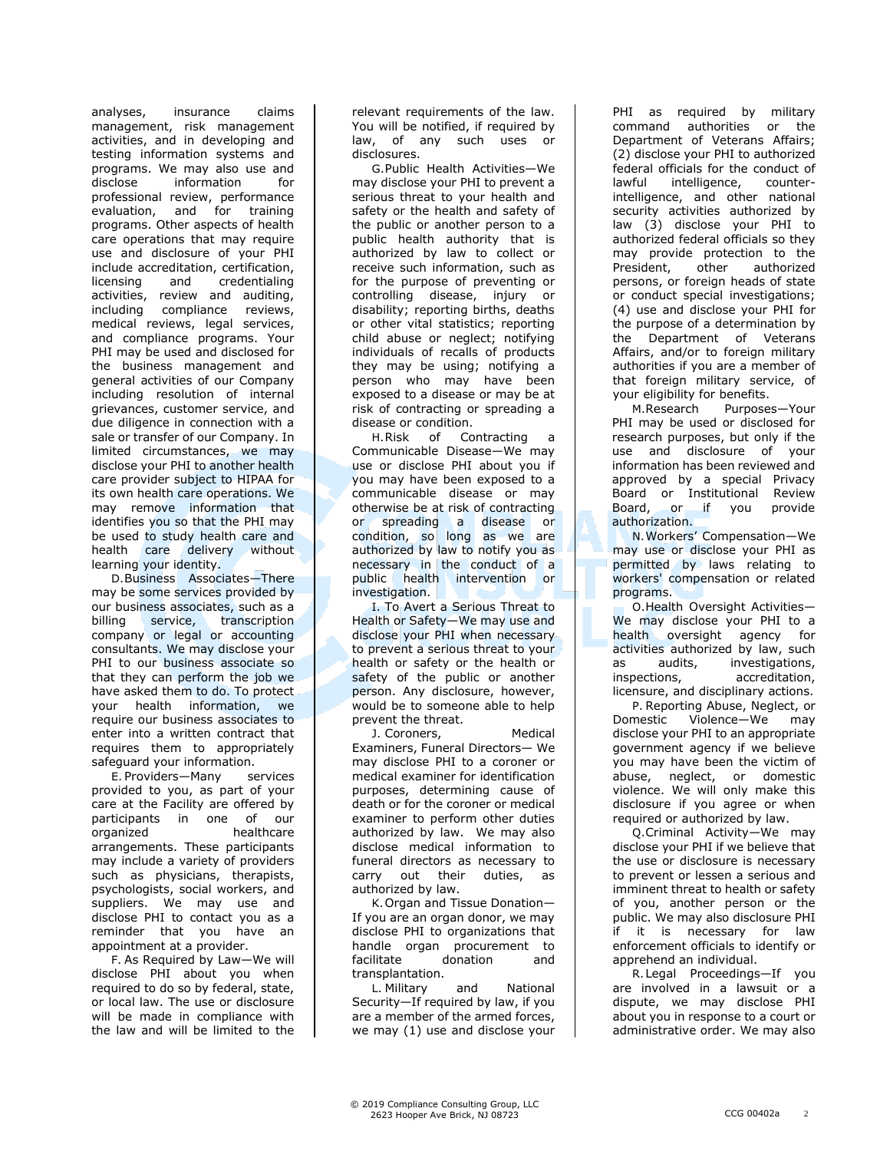analyses, insurance claims management, risk management activities, and in developing and testing information systems and programs. We may also use and disclose information for professional review, performance evaluation, and for training programs. Other aspects of health care operations that may require use and disclosure of your PHI include accreditation, certification, licensing and credentialing activities, review and auditing, including compliance reviews, medical reviews, legal services, and compliance programs. Your PHI may be used and disclosed for the business management and general activities of our Company including resolution of internal grievances, customer service, and due diligence in connection with a sale or transfer of our Company. In limited circumstances, we may disclose your PHI to another health care provider subject to HIPAA for its own health care operations. We may remove information that identifies you so that the PHI may be used to study health care and health care delivery without learning your identity.

D.Business Associates—There may be some services provided by our business associates, such as a billing service, transcription company or legal or accounting consultants. We may disclose your PHI to our business associate so that they can perform the job we have asked them to do. To protect your health information, we require our business associates to enter into a written contract that requires them to appropriately safeguard your information.

E. Providers—Many services provided to you, as part of your care at the Facility are offered by participants in one of our organized healthcare arrangements. These participants may include a variety of providers such as physicians, therapists, psychologists, social workers, and suppliers. We may use and disclose PHI to contact you as a reminder that you have an appointment at a provider.

F. As Required by Law—We will disclose PHI about you when required to do so by federal, state, or local law. The use or disclosure will be made in compliance with the law and will be limited to the relevant requirements of the law. You will be notified, if required by law, of any such uses or disclosures.

G.Public Health Activities—We may disclose your PHI to prevent a serious threat to your health and safety or the health and safety of the public or another person to a public health authority that is authorized by law to collect or receive such information, such as for the purpose of preventing or controlling disease, injury or disability; reporting births, deaths or other vital statistics; reporting child abuse or neglect; notifying individuals of recalls of products they may be using; notifying a person who may have been exposed to a disease or may be at risk of contracting or spreading a disease or condition.

H.Risk of Contracting a Communicable Disease—We may use or disclose PHI about you if you may have been exposed to a communicable disease or may otherwise be at risk of contracting or spreading a disease or condition, so long as we are authorized by law to notify you as necessary in the conduct of a public health intervention or investigation.

I. To Avert a Serious Threat to Health or Safety—We may use and disclose your PHI when necessary to prevent a serious threat to your health or safety or the health or safety of the public or another person. Any disclosure, however, would be to someone able to help prevent the threat.

J. Coroners, Medical Examiners, Funeral Directors— We may disclose PHI to a coroner or medical examiner for identification purposes, determining cause of death or for the coroner or medical examiner to perform other duties authorized by law. We may also disclose medical information to funeral directors as necessary to carry out their duties, as authorized by law.

K.Organ and Tissue Donation— If you are an organ donor, we may disclose PHI to organizations that handle organ procurement to facilitate donation and transplantation.

L. Military and National Security—If required by law, if you are a member of the armed forces, we may (1) use and disclose your

PHI as required by military command authorities or the Department of Veterans Affairs; (2) disclose your PHI to authorized federal officials for the conduct of lawful intelligence, counterintelligence, and other national security activities authorized by law (3) disclose your PHI to authorized federal officials so they may provide protection to the President, other authorized persons, or foreign heads of state or conduct special investigations; (4) use and disclose your PHI for the purpose of a determination by the Department of Veterans Affairs, and/or to foreign military authorities if you are a member of that foreign military service, of your eligibility for benefits.

M.Research Purposes—Your PHI may be used or disclosed for research purposes, but only if the use and disclosure of your information has been reviewed and approved by a special Privacy Board or Institutional Review Board, or if you provide authorization.

N.Workers' Compensation—We may use or disclose your PHI as permitted by laws relating to workers' compensation or related programs.

O.Health Oversight Activities— We may disclose your PHI to a health oversight agency for activities authorized by law, such as audits, investigations, inspections, accreditation, licensure, and disciplinary actions.

P. Reporting Abuse, Neglect, or Domestic Violence—We may disclose your PHI to an appropriate government agency if we believe you may have been the victim of abuse, neglect, or domestic violence. We will only make this disclosure if you agree or when required or authorized by law.

Q.Criminal Activity—We may disclose your PHI if we believe that the use or disclosure is necessary to prevent or lessen a serious and imminent threat to health or safety of you, another person or the public. We may also disclosure PHI if it is necessary for law enforcement officials to identify or apprehend an individual.

R.Legal Proceedings—If you are involved in a lawsuit or a dispute, we may disclose PHI about you in response to a court or administrative order. We may also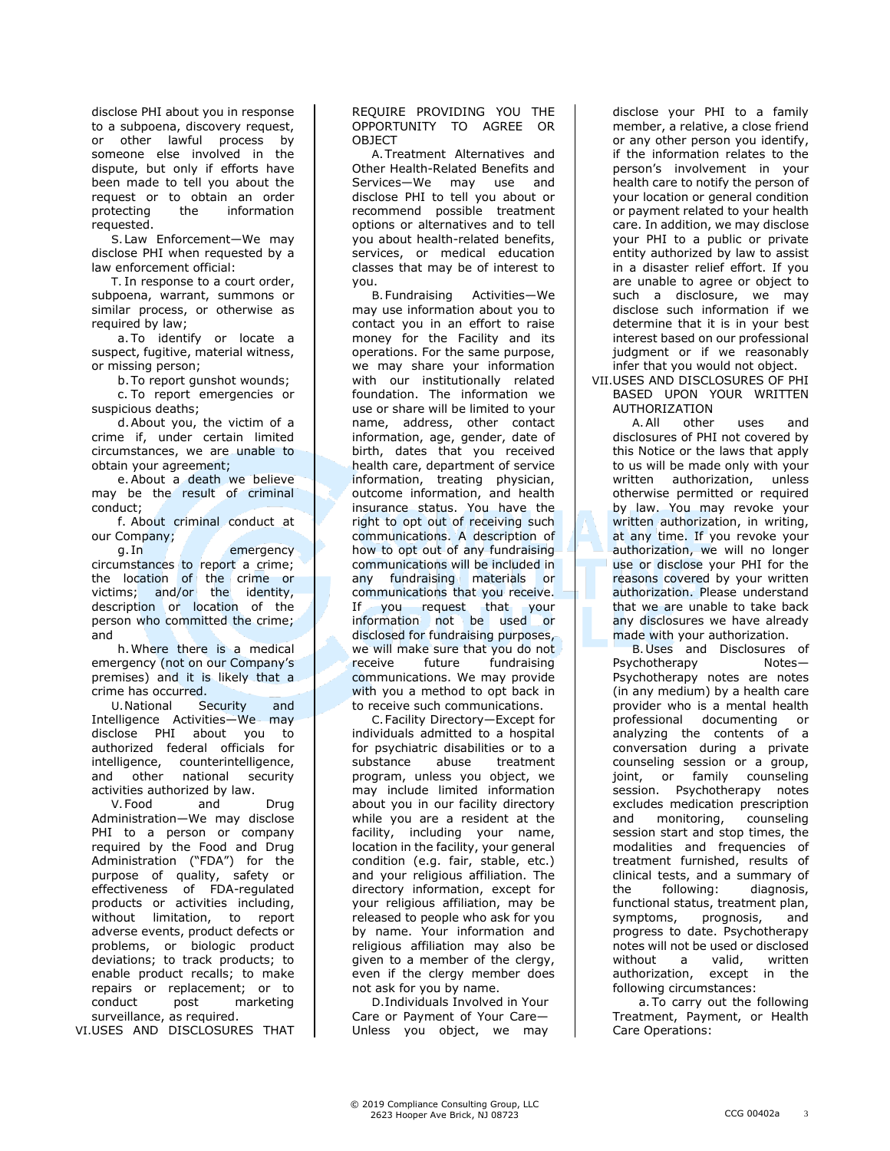disclose PHI about you in response to a subpoena, discovery request, or other lawful process by someone else involved in the dispute, but only if efforts have been made to tell you about the request or to obtain an order protecting the information requested.

S.Law Enforcement—We may disclose PHI when requested by a law enforcement official:

T. In response to a court order, subpoena, warrant, summons or similar process, or otherwise as required by law;

a. To identify or locate a suspect, fugitive, material witness, or missing person;

b.To report gunshot wounds;

c. To report emergencies or suspicious deaths;

d.About you, the victim of a crime if, under certain limited circumstances, we are unable to obtain your agreement;

e.About a death we believe may be the result of criminal conduct;

f. About criminal conduct at our Company;

g. In the contract of the emergency circumstances to report a crime; the location of the crime or victims; and/or the identity, description or location of the person who committed the crime; and

h.Where there is a medical emergency (not on our Company's premises) and it is likely that a crime has occurred.

U.National Security and Intelligence Activities—We may disclose PHI about you to authorized federal officials for intelligence, counterintelligence, and other national security activities authorized by law.

V.Food and Drug Administration—We may disclose PHI to a person or company required by the Food and Drug Administration ("FDA") for the purpose of quality, safety or effectiveness of FDA-regulated products or activities including, without limitation, to report adverse events, product defects or problems, or biologic product deviations; to track products; to enable product recalls; to make repairs or replacement; or to conduct post marketing surveillance, as required.

VI.USES AND DISCLOSURES THAT

REQUIRE PROVIDING YOU THE OPPORTUNITY TO AGREE OR **OBJECT** 

A.Treatment Alternatives and Other Health-Related Benefits and Services—We may use and disclose PHI to tell you about or recommend possible treatment options or alternatives and to tell you about health-related benefits, services, or medical education classes that may be of interest to you.

B.Fundraising Activities—We may use information about you to contact you in an effort to raise money for the Facility and its operations. For the same purpose, we may share your information with our institutionally related foundation. The information we use or share will be limited to your name, address, other contact information, age, gender, date of birth, dates that you received health care, department of service information, treating physician, outcome information, and health insurance status. You have the right to opt out of receiving such communications. A description of how to opt out of any fundraising communications will be included in any fundraising materials or communications that you receive. If you request that your information not be used or disclosed for fundraising purposes, we will make sure that you do not receive future fundraising communications. We may provide with you a method to opt back in to receive such communications.

C.Facility Directory—Except for individuals admitted to a hospital for psychiatric disabilities or to a substance abuse treatment program, unless you object, we may include limited information about you in our facility directory while you are a resident at the facility, including your name, location in the facility, your general condition (e.g. fair, stable, etc.) and your religious affiliation. The directory information, except for your religious affiliation, may be released to people who ask for you by name. Your information and religious affiliation may also be given to a member of the clergy, even if the clergy member does not ask for you by name.

D.Individuals Involved in Your Care or Payment of Your Care— Unless you object, we may disclose your PHI to a family member, a relative, a close friend or any other person you identify, if the information relates to the person's involvement in your health care to notify the person of your location or general condition or payment related to your health care. In addition, we may disclose your PHI to a public or private entity authorized by law to assist in a disaster relief effort. If you are unable to agree or object to such a disclosure, we may disclose such information if we determine that it is in your best interest based on our professional judgment or if we reasonably infer that you would not object.

VII.USES AND DISCLOSURES OF PHI BASED UPON YOUR WRITTEN AUTHORIZATION

A.All other uses and disclosures of PHI not covered by this Notice or the laws that apply to us will be made only with your written authorization, unless otherwise permitted or required by law. You may revoke your written authorization, in writing, at any time. If you revoke your authorization, we will no longer use or disclose your PHI for the reasons covered by your written authorization. Please understand that we are unable to take back any disclosures we have already made with your authorization.

B.Uses and Disclosures of Psychotherapy Notes-Psychotherapy notes are notes (in any medium) by a health care provider who is a mental health professional documenting or analyzing the contents of a conversation during a private counseling session or a group,<br>joint, or family counseling joint, or family counseling session. Psychotherapy notes excludes medication prescription and monitoring, counseling session start and stop times, the modalities and frequencies of treatment furnished, results of clinical tests, and a summary of the following: diagnosis, functional status, treatment plan, symptoms, prognosis, and progress to date. Psychotherapy notes will not be used or disclosed without a valid, written authorization, except in the following circumstances:

a. To carry out the following Treatment, Payment, or Health Care Operations: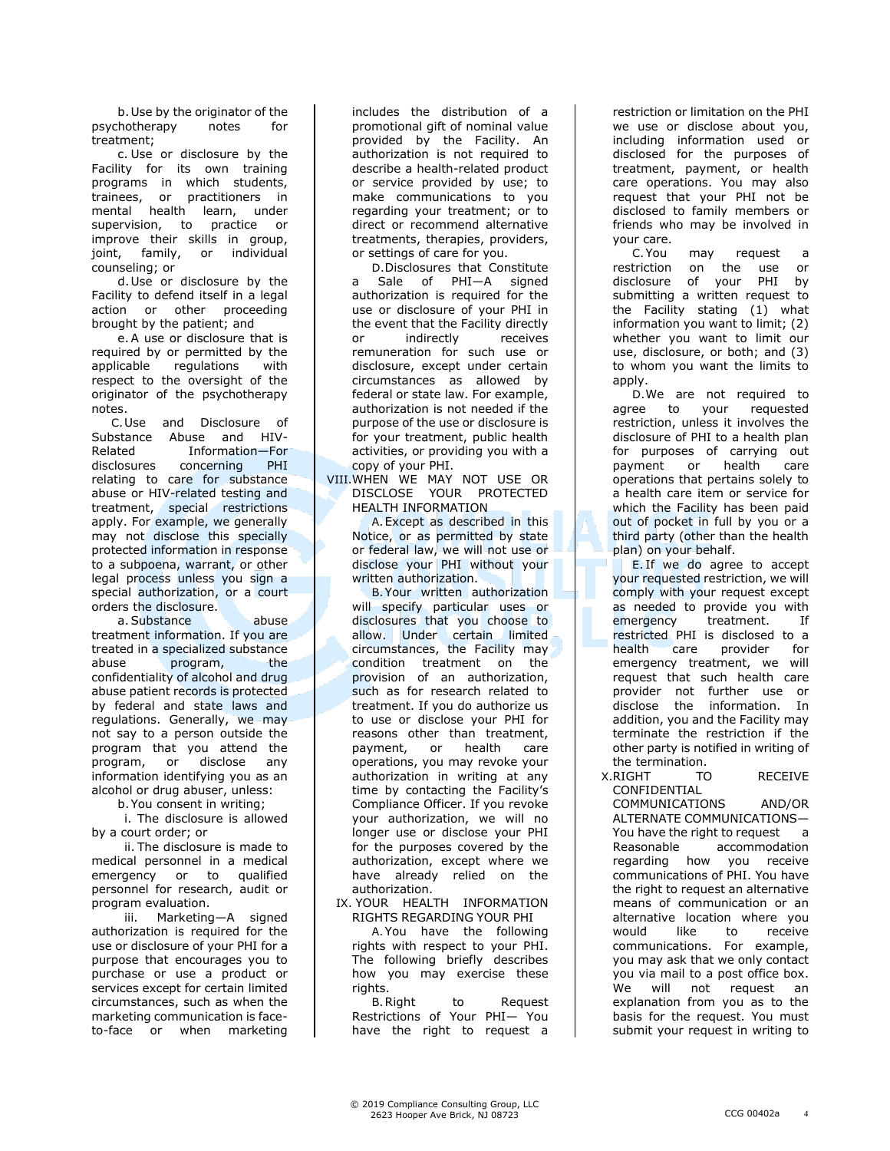b.Use by the originator of the psychotherapy notes for treatment;

c. Use or disclosure by the Facility for its own training programs in which students, trainees, or practitioners in mental health learn, under supervision, to practice or improve their skills in group, joint, family, or individual counseling; or

d.Use or disclosure by the Facility to defend itself in a legal action or other proceeding brought by the patient; and

e.A use or disclosure that is required by or permitted by the applicable regulations with respect to the oversight of the originator of the psychotherapy notes.

C.Use and Disclosure of Substance Abuse and HIV-Related Information—For disclosures concerning PHI relating to care for substance abuse or HIV-related testing and treatment, special restrictions apply. For example, we generally may not disclose this specially protected information in response to a subpoena, warrant, or other legal process unless you sign a special authorization, or a court orders the disclosure.

a. Substance abuse treatment information. If you are treated in a specialized substance abuse program, the confidentiality of alcohol and drug abuse patient records is protected by federal and state laws and regulations. Generally, we may not say to a person outside the program that you attend the program, or disclose any information identifying you as an alcohol or drug abuser, unless:

b.You consent in writing;

i. The disclosure is allowed by a court order; or

ii. The disclosure is made to medical personnel in a medical emergency or to qualified personnel for research, audit or program evaluation.

iii. Marketing—A signed authorization is required for the use or disclosure of your PHI for a purpose that encourages you to purchase or use a product or services except for certain limited circumstances, such as when the marketing communication is faceto-face or when marketing

includes the distribution of a promotional gift of nominal value provided by the Facility. An authorization is not required to describe a health-related product or service provided by use; to make communications to you regarding your treatment; or to direct or recommend alternative treatments, therapies, providers, or settings of care for you.

D.Disclosures that Constitute a Sale of PHI—A signed authorization is required for the use or disclosure of your PHI in the event that the Facility directly or indirectly receives remuneration for such use or disclosure, except under certain circumstances as allowed by federal or state law. For example, authorization is not needed if the purpose of the use or disclosure is for your treatment, public health activities, or providing you with a copy of your PHI.

VIII.WHEN WE MAY NOT USE OR DISCLOSE YOUR PROTECTED HEALTH INFORMATION

A.Except as described in this Notice, or as permitted by state or federal law, we will not use or disclose your PHI without your written authorization.

B.Your written authorization will specify particular uses or disclosures that you choose to allow. Under certain limited circumstances, the Facility may condition treatment on the provision of an authorization, such as for research related to treatment. If you do authorize us to use or disclose your PHI for reasons other than treatment, payment, or health care operations, you may revoke your authorization in writing at any time by contacting the Facility's Compliance Officer. If you revoke your authorization, we will no longer use or disclose your PHI for the purposes covered by the authorization, except where we have already relied on the authorization.

## IX. YOUR HEALTH INFORMATION RIGHTS REGARDING YOUR PHI

A.You have the following rights with respect to your PHI. The following briefly describes how you may exercise these rights.

B.Right to Request Restrictions of Your PHI— You have the right to request a

restriction or limitation on the PHI we use or disclose about you, including information used or disclosed for the purposes of treatment, payment, or health care operations. You may also request that your PHI not be disclosed to family members or friends who may be involved in your care.

C.You may request a restriction on the use or<br>disclosure of your PHI by disclosure of your PHI by submitting a written request to the Facility stating (1) what information you want to limit; (2) whether you want to limit our use, disclosure, or both; and (3) to whom you want the limits to apply.

D.We are not required to agree to your requested restriction, unless it involves the disclosure of PHI to a health plan for purposes of carrying out payment or health care operations that pertains solely to a health care item or service for which the Facility has been paid out of pocket in full by you or a third party (other than the health plan) on your behalf.

E. If we do agree to accept your requested restriction, we will comply with your request except as needed to provide you with emergency treatment. If restricted PHI is disclosed to a health care provider for emergency treatment, we will request that such health care provider not further use or disclose the information. In addition, you and the Facility may terminate the restriction if the other party is notified in writing of the termination.

X.RIGHT TO RECEIVE CONFIDENTIAL

COMMUNICATIONS AND/OR ALTERNATE COMMUNICATIONS— You have the right to request a Reasonable accommodation regarding how you receive communications of PHI. You have the right to request an alternative means of communication or an alternative location where you would like to receive communications. For example, you may ask that we only contact you via mail to a post office box. We will not request an explanation from you as to the basis for the request. You must submit your request in writing to